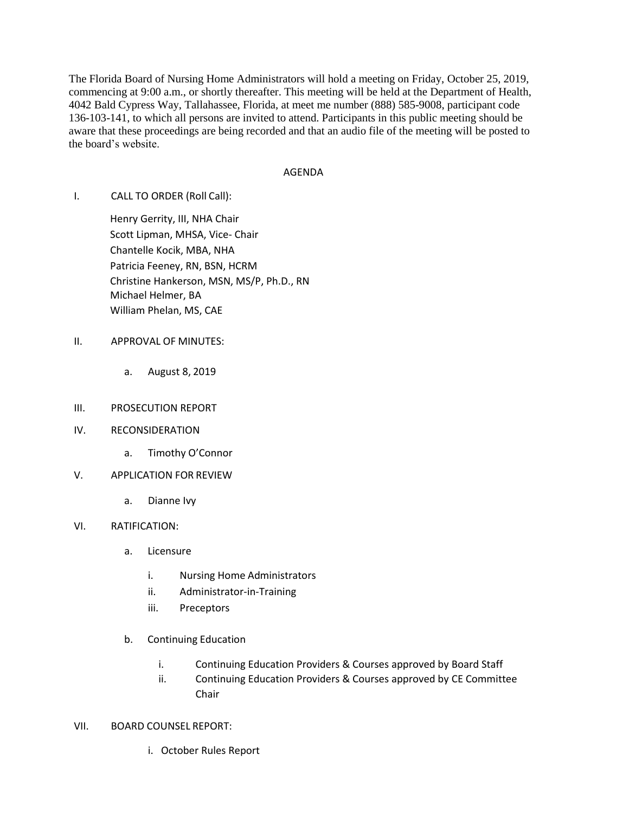The Florida Board of Nursing Home Administrators will hold a meeting on Friday, October 25, 2019, commencing at 9:00 a.m., or shortly thereafter. This meeting will be held at the Department of Health, 4042 Bald Cypress Way, Tallahassee, Florida, at meet me number (888) 585-9008, participant code 136-103-141, to which all persons are invited to attend. Participants in this public meeting should be aware that these proceedings are being recorded and that an audio file of the meeting will be posted to the board's website.

## AGENDA

I. CALL TO ORDER (Roll Call):

Henry Gerrity, III, NHA Chair Scott Lipman, MHSA, Vice- Chair Chantelle Kocik, MBA, NHA Patricia Feeney, RN, BSN, HCRM Christine Hankerson, MSN, MS/P, Ph.D., RN Michael Helmer, BA William Phelan, MS, CAE

- II. APPROVAL OF MINUTES:
	- a. August 8, 2019
- III. PROSECUTION REPORT
- IV. RECONSIDERATION
	- a. Timothy O'Connor
- V. APPLICATION FOR REVIEW
	- a. Dianne Ivy
- VI. RATIFICATION:
	- a. Licensure
		- i. Nursing Home Administrators
		- ii. Administrator-in-Training
		- iii. Preceptors
	- b. Continuing Education
		- i. Continuing Education Providers & Courses approved by Board Staff
		- ii. Continuing Education Providers & Courses approved by CE Committee Chair
- VII. BOARD COUNSEL REPORT:
	- i. October Rules Report